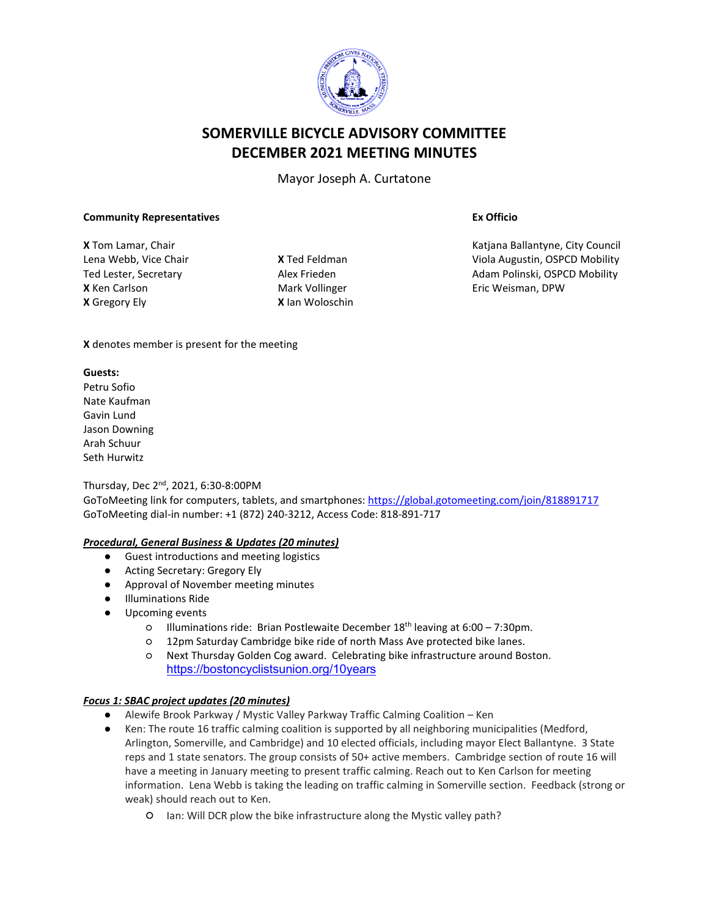

# **SOMERVILLE BICYCLE ADVISORY COMMITTEE DECEMBER 2021 MEETING MINUTES**

Mayor Joseph A. Curtatone

#### **Community Representatives**

**X** Tom Lamar, Chair Lena Webb, Vice Chair Ted Lester, Secretary **X** Ken Carlson **X** Gregory Ely

**X** Ted Feldman Alex Frieden Mark Vollinger **X** Ian Woloschin **Ex Officio**

Katjana Ballantyne, City Council Viola Augustin, OSPCD Mobility Adam Polinski, OSPCD Mobility Eric Weisman, DPW

**X** denotes member is present for the meeting

### **Guests:**

Petru Sofio Nate Kaufman Gavin Lund Jason Downing Arah Schuur Seth Hurwitz

Thursday, Dec 2nd, 2021, 6:30-8:00PM GoToMeeting link for computers, tablets, and smartphones: <https://global.gotomeeting.com/join/818891717> GoToMeeting dial-in number: +1 (872) 240-3212, Access Code: 818-891-717

### *Procedural, General Business & Updates (20 minutes)*

- Guest introductions and meeting logistics
- Acting Secretary: Gregory Ely
- Approval of November meeting minutes
- **Illuminations Ride**
- Upcoming events
	- Illuminations ride: Brian Postlewaite December 18th leaving at 6:00 7:30pm.
	- 12pm Saturday Cambridge bike ride of north Mass Ave protected bike lanes.
	- Next Thursday Golden Cog award. Celebrating bike infrastructure around Boston. <https://bostoncyclistsunion.org/10years>

## *Focus 1: SBAC project updates (20 minutes)*

- Alewife Brook Parkway / Mystic Valley Parkway Traffic Calming Coalition Ken
- Ken: The route 16 traffic calming coalition is supported by all neighboring municipalities (Medford, Arlington, Somerville, and Cambridge) and 10 elected officials, including mayor Elect Ballantyne. 3 State reps and 1 state senators. The group consists of 50+ active members. Cambridge section of route 16 will have a meeting in January meeting to present traffic calming. Reach out to Ken Carlson for meeting information. Lena Webb is taking the leading on traffic calming in Somerville section. Feedback (strong or weak) should reach out to Ken.
	- Ian: Will DCR plow the bike infrastructure along the Mystic valley path?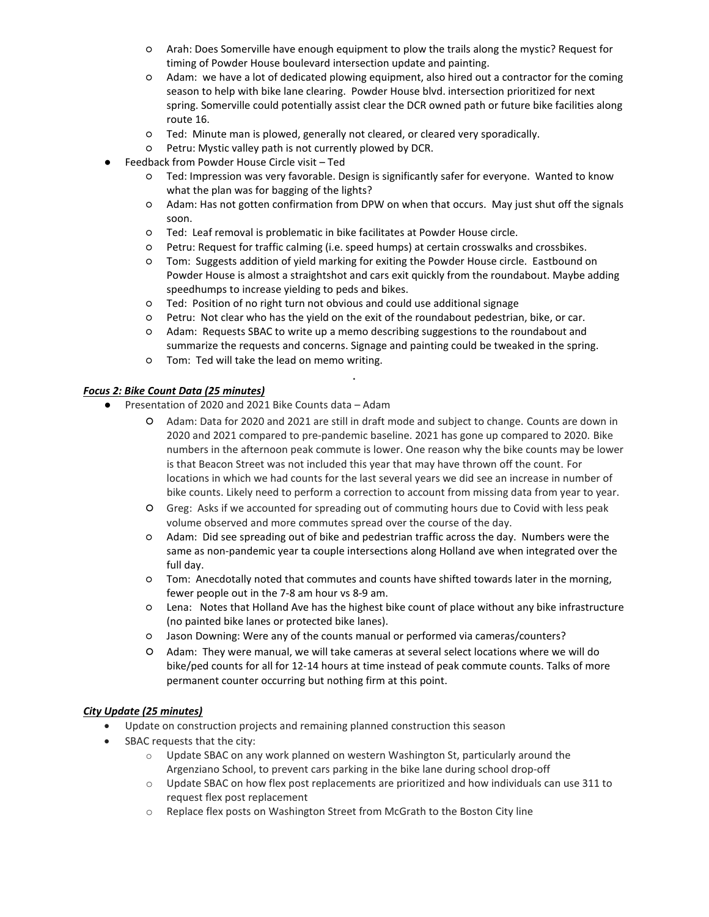- Arah: Does Somerville have enough equipment to plow the trails along the mystic? Request for timing of Powder House boulevard intersection update and painting.
- Adam: we have a lot of dedicated plowing equipment, also hired out a contractor for the coming season to help with bike lane clearing. Powder House blvd. intersection prioritized for next spring. Somerville could potentially assist clear the DCR owned path or future bike facilities along route 16.
- Ted: Minute man is plowed, generally not cleared, or cleared very sporadically.
- Petru: Mystic valley path is not currently plowed by DCR.
- Feedback from Powder House Circle visit Ted
	- Ted: Impression was very favorable. Design is significantly safer for everyone. Wanted to know what the plan was for bagging of the lights?
	- Adam: Has not gotten confirmation from DPW on when that occurs. May just shut off the signals soon.
	- Ted: Leaf removal is problematic in bike facilitates at Powder House circle.
	- Petru: Request for traffic calming (i.e. speed humps) at certain crosswalks and crossbikes.
	- Tom: Suggests addition of yield marking for exiting the Powder House circle. Eastbound on Powder House is almost a straightshot and cars exit quickly from the roundabout. Maybe adding speedhumps to increase yielding to peds and bikes.
	- Ted: Position of no right turn not obvious and could use additional signage
	- Petru: Not clear who has the yield on the exit of the roundabout pedestrian, bike, or car.
	- Adam: Requests SBAC to write up a memo describing suggestions to the roundabout and summarize the requests and concerns. Signage and painting could be tweaked in the spring.

.

○ Tom: Ted will take the lead on memo writing.

### *Focus 2: Bike Count Data (25 minutes)*

- Presentation of 2020 and 2021 Bike Counts data Adam
	- Adam: Data for 2020 and 2021 are still in draft mode and subject to change. Counts are down in 2020 and 2021 compared to pre-pandemic baseline. 2021 has gone up compared to 2020. Bike numbers in the afternoon peak commute is lower. One reason why the bike counts may be lower is that Beacon Street was not included this year that may have thrown off the count. For locations in which we had counts for the last several years we did see an increase in number of bike counts. Likely need to perform a correction to account from missing data from year to year.
	- Greg: Asks if we accounted for spreading out of commuting hours due to Covid with less peak volume observed and more commutes spread over the course of the day.
	- Adam: Did see spreading out of bike and pedestrian traffic across the day. Numbers were the same as non-pandemic year ta couple intersections along Holland ave when integrated over the full day.
	- Tom: Anecdotally noted that commutes and counts have shifted towards later in the morning, fewer people out in the 7-8 am hour vs 8-9 am.
	- Lena: Notes that Holland Ave has the highest bike count of place without any bike infrastructure (no painted bike lanes or protected bike lanes).
	- Jason Downing: Were any of the counts manual or performed via cameras/counters?
	- Adam: They were manual, we will take cameras at several select locations where we will do bike/ped counts for all for 12-14 hours at time instead of peak commute counts. Talks of more permanent counter occurring but nothing firm at this point.

### *City Update (25 minutes)*

- Update on construction projects and remaining planned construction this season
- SBAC requests that the city:
	- $\circ$  Update SBAC on any work planned on western Washington St, particularly around the Argenziano School, to prevent cars parking in the bike lane during school drop-off
	- $\circ$  Update SBAC on how flex post replacements are prioritized and how individuals can use 311 to request flex post replacement
	- o Replace flex posts on Washington Street from McGrath to the Boston City line